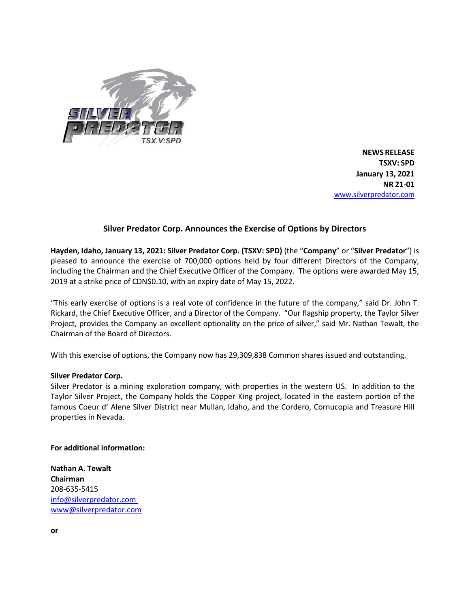

**NEWS RELEASE TSXV: SPD January 13, 2021 NR 21-01** [www.silverpredator.com](http://www.silverpredator.com/)

## **Silver Predator Corp. Announces the Exercise of Options by Directors**

**Hayden, Idaho, January 13, 2021: Silver Predator Corp. (TSXV: SPD)** (the "**Company**" or "**Silver Predator**") is pleased to announce the exercise of 700,000 options held by four different Directors of the Company, including the Chairman and the Chief Executive Officer of the Company. The options were awarded May 15, 2019 at a strike price of CDN\$0.10, with an expiry date of May 15, 2022.

"This early exercise of options is a real vote of confidence in the future of the company," said Dr. John T. Rickard, the Chief Executive Officer, and a Director of the Company. "Our flagship property, the Taylor Silver Project, provides the Company an excellent optionality on the price of silver," said Mr. Nathan Tewalt, the Chairman of the Board of Directors.

With this exercise of options, the Company now has 29,309,838 Common shares issued and outstanding.

## **Silver Predator Corp.**

Silver Predator is a mining exploration company, with properties in the western US. In addition to the Taylor Silver Project, the Company holds the Copper King project, located in the eastern portion of the famous Coeur d' Alene Silver District near Mullan, Idaho, and the Cordero, Cornucopia and Treasure Hill properties in Nevada.

**For additional information:**

**Nathan A. Tewalt Chairman** 208-635-5415 [info@silverpredator.com](mailto:info@silverpredator.com)  [www@silverpredator.com](mailto:www@silverpredator.com)